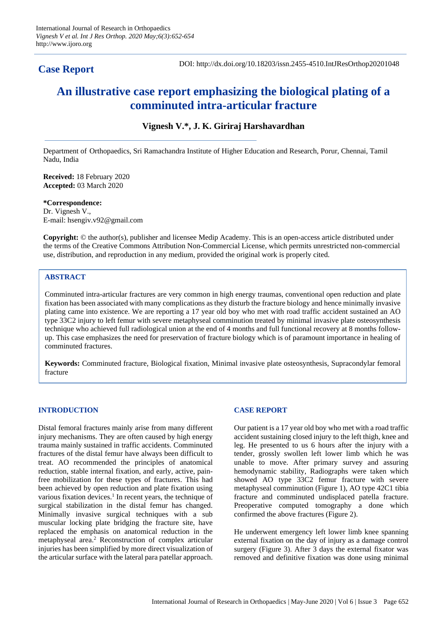# **Case Report**

DOI: http://dx.doi.org/10.18203/issn.2455-4510.IntJResOrthop20201048

# **An illustrative case report emphasizing the biological plating of a comminuted intra-articular fracture**

## **Vignesh V.\*, J. K. Giriraj Harshavardhan**

Department of Orthopaedics, Sri Ramachandra Institute of Higher Education and Research, Porur, Chennai, Tamil Nadu, India

**Received:** 18 February 2020 **Accepted:** 03 March 2020

**\*Correspondence:** Dr. Vignesh V., E-mail: hsengiv.v92@gmail.com

**Copyright:** © the author(s), publisher and licensee Medip Academy. This is an open-access article distributed under the terms of the Creative Commons Attribution Non-Commercial License, which permits unrestricted non-commercial use, distribution, and reproduction in any medium, provided the original work is properly cited.

## **ABSTRACT**

Comminuted intra-articular fractures are very common in high energy traumas, conventional open reduction and plate fixation has been associated with many complications as they disturb the fracture biology and hence minimally invasive plating came into existence. We are reporting a 17 year old boy who met with road traffic accident sustained an AO type 33C2 injury to left femur with severe metaphyseal comminution treated by minimal invasive plate osteosynthesis technique who achieved full radiological union at the end of 4 months and full functional recovery at 8 months followup. This case emphasizes the need for preservation of fracture biology which is of paramount importance in healing of comminuted fractures.

**Keywords:** Comminuted fracture, Biological fixation, Minimal invasive plate osteosynthesis, Supracondylar femoral fracture

#### **INTRODUCTION**

Distal femoral fractures mainly arise from many different injury mechanisms. They are often caused by high energy trauma mainly sustained in traffic accidents. Comminuted fractures of the distal femur have always been difficult to treat. AO recommended the principles of anatomical reduction, stable internal fixation, and early, active, painfree mobilization for these types of fractures. This had been achieved by open reduction and plate fixation using various fixation devices.<sup>1</sup> In recent years, the technique of surgical stabilization in the distal femur has changed. Minimally invasive surgical techniques with a sub muscular locking plate bridging the fracture site, have replaced the emphasis on anatomical reduction in the metaphyseal area.<sup>2</sup> Reconstruction of complex articular injuries has been simplified by more direct visualization of the articular surface with the lateral para patellar approach.

#### **CASE REPORT**

Our patient is a 17 year old boy who met with a road traffic accident sustaining closed injury to the left thigh, knee and leg. He presented to us 6 hours after the injury with a tender, grossly swollen left lower limb which he was unable to move. After primary survey and assuring hemodynamic stability, Radiographs were taken which showed AO type 33C2 femur fracture with severe metaphyseal comminution (Figure 1), AO type 42C1 tibia fracture and comminuted undisplaced patella fracture. Preoperative computed tomography a done which confirmed the above fractures (Figure 2).

He underwent emergency left lower limb knee spanning external fixation on the day of injury as a damage control surgery (Figure 3). After 3 days the external fixator was removed and definitive fixation was done using minimal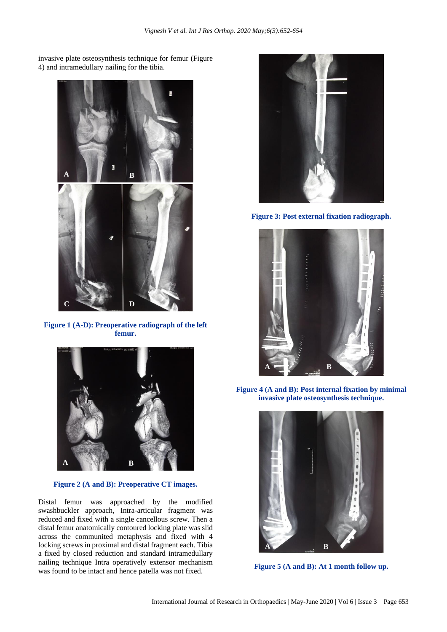invasive plate osteosynthesis technique for femur (Figure 4) and intramedullary nailing for the tibia.



**Figure 1 (A-D): Preoperative radiograph of the left femur.**



**Figure 2 (A and B): Preoperative CT images.**

Distal femur was approached by the modified swashbuckler approach, Intra-articular fragment was reduced and fixed with a single cancellous screw. Then a distal femur anatomically contoured locking plate was slid across the communited metaphysis and fixed with 4 locking screws in proximal and distal fragment each. Tibia a fixed by closed reduction and standard intramedullary nailing technique Intra operatively extensor mechanism was found to be intact and hence patella was not fixed.



**Figure 3: Post external fixation radiograph.**



**Figure 4 (A and B): Post internal fixation by minimal invasive plate osteosynthesis technique.**



**Figure 5 (A and B): At 1 month follow up.**